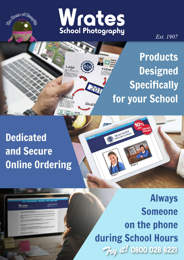



 $Qu$ a

ent in tin

Logo

**MINNADA** 

Est. 1907

# **Products Designed Specifically** for your School

**iO** 

SEACOAST SCHOOL

## **Dedicated** and Secure **Online Ordering**

**Wrates** 

**Always Someone** on the phone during School Hours Try it! 0800 028 8221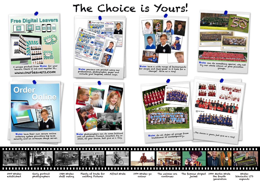1907 Wrates established

 $\Box$ a pro

> Earlyportrait photographers

1930 Wrates staff outing Plenty of trade for walking Pictures

Alfred Wrate 1970 Wrates go colour

The walkies era continues

The famous striped 1990 Martin Wrate the fourth generation

jacket

Wrates Scholastic LTD expands



www.ourleavers.com A unique product from <mark>Wrates</mark> for your<br>leavers. Check it out and register at...

# Order<br>Conline



**Wrates** have their own secure online ordering system providing top level<br>security and an in-house image server.

# The Choice is Yours!



**Wrates** previews are printed using our professional, photographic, paper and include your bespoke, school logo.



**Wrates** photographers can do some brilliant wall art pictures. Framed, mounted, big or small, its your choice. Just give us a ring. <mark>Wrates</mark> have their own secure online **Wrates photographers** can do some brilliant **where their order in the security** of groups from an ordering system providing top level wall art pictures. Framed, mounted, big or **and t** 



**Wrates** have a wide range of backgrounds for single and dual-pose! Is it time for a change? Give us a ring!



traditional to contemporary...